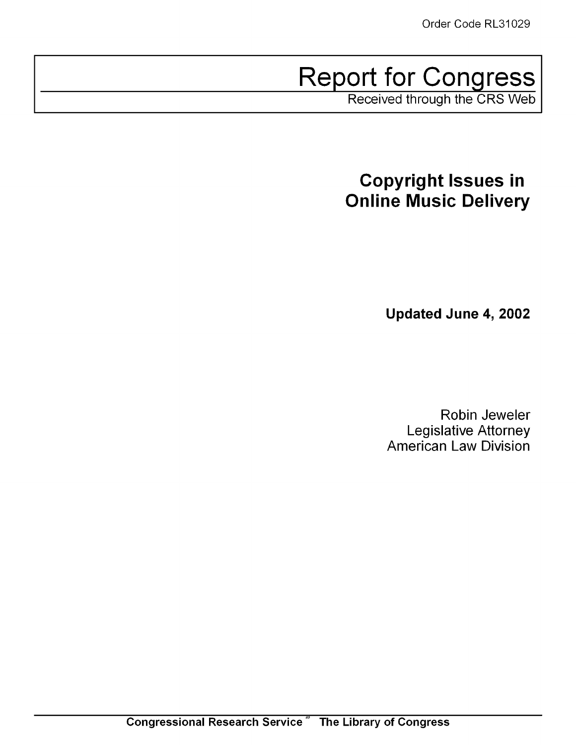# Report for Congress

Received through the CRS Web

# **Copyright Issues in Online Music Delivery**

**Updated June 4, 2002**

Robin Jeweler Legislative Attorney American Law Division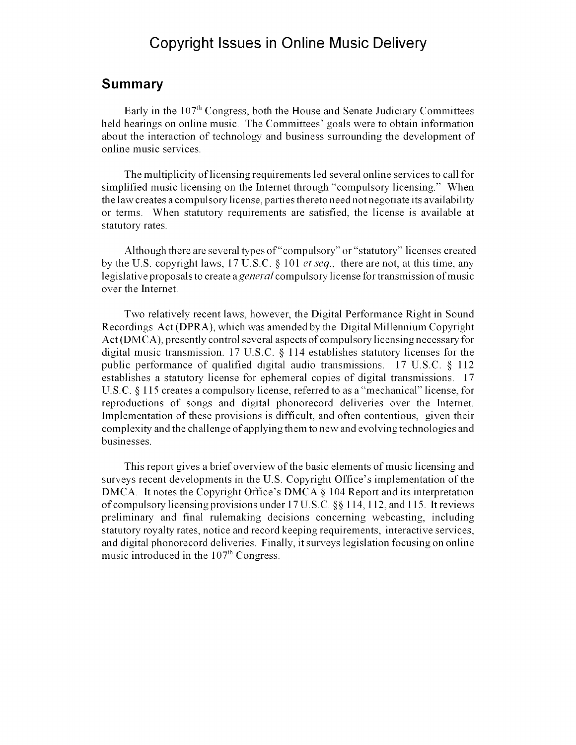### Copyright Issues in Online Music Delivery

### **Summary**

Early in the  $107<sup>th</sup>$  Congress, both the House and Senate Judiciary Committees held hearings on online music. The Committees' goals were to obtain information about the interaction of technology and business surrounding the development of online music services.

The multiplicity of licensing requirements led several online services to call for simplified music licensing on the Internet through "compulsory licensing." When the law creates a compulsory license, parties thereto need not negotiate its availability or terms. When statutory requirements are satisfied, the license is available at statutory rates.

Although there are several types of "compulsory" or "statutory" licenses created by the U.S. copyright laws, 17 U.S.C. § 101 *et seq.,* there are not, at this time, any legislative proposals to create *a general* compulsory license for transmission of music over the Internet.

Two relatively recent laws, however, the Digital Performance Right in Sound Recordings Act (DPRA), which was amended by the Digital Millennium Copyright Act (DMCA), presently control several aspects of compulsory licensing necessary for digital music transmission. 17 U.S.C. § 114 establishes statutory licenses for the public performance of qualified digital audio transmissions. 17 U.S.C. § 112 establishes a statutory license for ephemeral copies of digital transmissions. 17 U.S.C. § 115 creates a compulsory license, referred to as a "mechanical" license, for reproductions of songs and digital phonorecord deliveries over the Internet. Implementation of these provisions is difficult, and often contentious, given their complexity and the challenge of applying them to new and evolving technologies and businesses.

This report gives a brief overview of the basic elements of music licensing and surveys recent developments in the U.S. Copyright Office's implementation of the DMCA. It notes the Copyright Office's DMCA § 104 Report and its interpretation of compulsory licensing provisions under 17 U.S.C. §§ 114, 112, and 115. It reviews preliminary and final rulemaking decisions concerning webcasting, including statutory royalty rates, notice and record keeping requirements, interactive services, and digital phonorecord deliveries. Finally, it surveys legislation focusing on online music introduced in the  $107<sup>th</sup>$  Congress.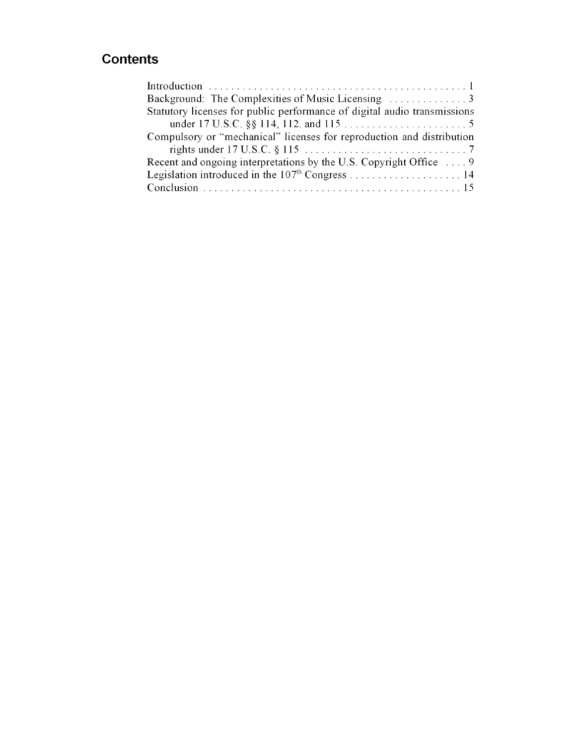## **Contents**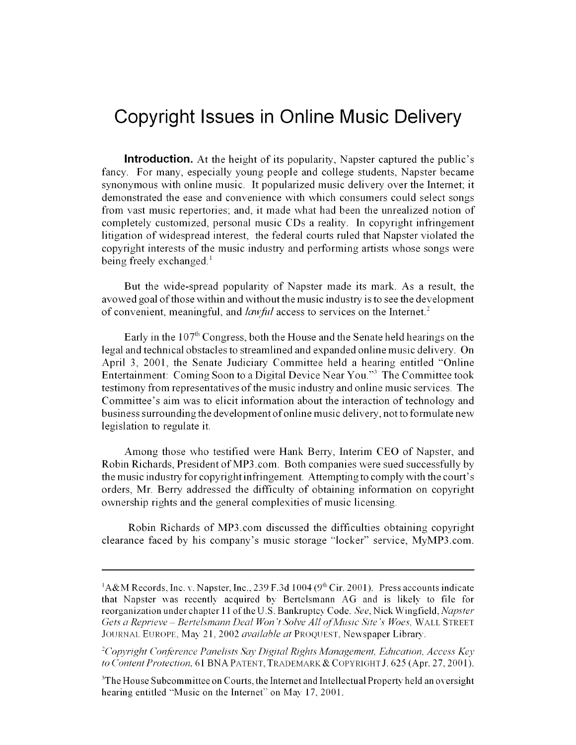# Copyright Issues **in Online Music Delivery**

**Introduction.** At the height of its popularity, Napster captured the public's fancy. For many, especially young people and college students, Napster became synonymous with online music. It popularized music delivery over the Internet; it demonstrated the ease and convenience with which consumers could select songs from vast music repertories; and, it made what had been the unrealized notion of completely customized, personal music CDs a reality. In copyright infringement litigation of widespread interest, the federal courts ruled that Napster violated the copyright interests of the music industry and performing artists whose songs were being freely exchanged.<sup>1</sup>

But the wide-spread popularity of Napster made its mark. As a result, the avowed goal of those within and without the music industry is to see the development of convenient, meaningful, and *lawful* access to services on the Internet.<sup>2</sup>

Early in the  $107<sup>th</sup>$  Congress, both the House and the Senate held hearings on the legal and technical obstacles to streamlined and expanded online music delivery. On April 3, 2001, the Senate Judiciary Committee held a hearing entitled "Online Entertainment: Coming Soon to a Digital Device Near You."<sup>3</sup> The Committee took testimony from representatives of the music industry and online music services. The Committee's aim was to elicit information about the interaction of technology and business surrounding the development of online music delivery, not to formulate new legislation to regulate it.

Among those who testified were Hank Berry, Interim **CEO** of Napster, and Robin Richards, President of MP3.com. Both companies were sued successfully by the music industry for copyright infringement. Attempting to comply with the court's orders, Mr. Berry addressed the difficulty of obtaining information on copyright ownership rights and the general complexities of music licensing.

Robin Richards of MP3.com discussed the difficulties obtaining copyright clearance faced by his company's music storage "locker" service, MyMP3.com.

 ${}^{1}$ A&M Records, Inc. v. Napster, Inc., 239 F.3d 1004 (9<sup>th</sup> Cir. 2001). Press accounts indicate that Napster was recently acquired by Bertelsmann AG and is likely to file for reorganization under chapter 11 of the U.S. Bankruptcy Code. *See,* Nick Wingfield. *Napster Gets a Reprieve - Bertelsmann Deal Won't Solve All ofMusic Site's Woes,* WALL STREET JOURNAL EUROPE, May 21, 2002 *available at* PROQUEST, Newspaper Library.

*<sup>&#</sup>x27;Copyright Conference Panelists Say Digital Rights Management, Education, Access Key to Content Protection,* 61 **BNA** PATENT, TRADEMARK & COPYRIGHT J. 625 (Apr. 27, 2001).

<sup>&</sup>lt;sup>3</sup>The House Subcommittee on Courts, the Internet and Intellectual Property held an oversight hearing entitled "Music on the Internet" on May 17, 2001.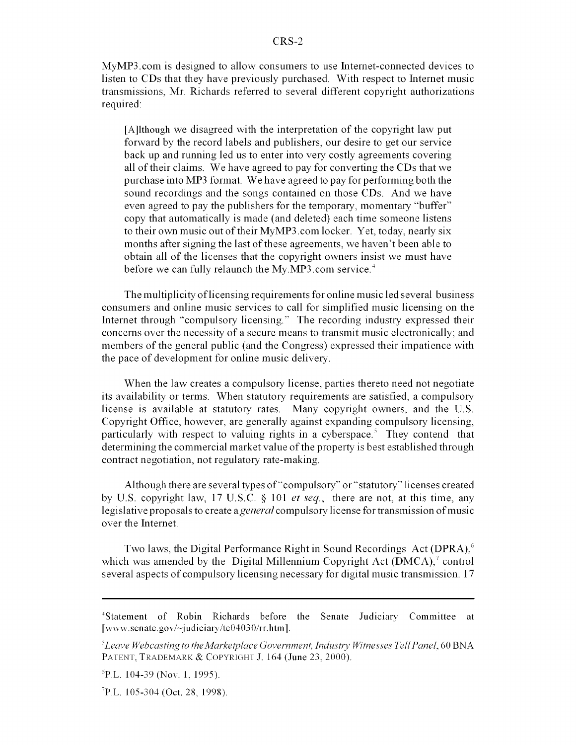MyMP3.com is designed to allow consumers to use Internet-connected devices to listen to CDs that they have previously purchased. With respect to Internet music transmissions, Mr. Richards referred to several different copyright authorizations required:

[A]lthough we disagreed with the interpretation of the copyright law put forward by the record labels and publishers, our desire to get our service back up and running led us to enter into very costly agreements covering all of their claims. We have agreed to pay for converting the CDs that we purchase into MP3 format. We have agreed to pay for performing both the sound recordings and the songs contained on those CDs. And we have even agreed to pay the publishers for the temporary, momentary "buffer" copy that automatically is made (and deleted) each time someone listens to their own music out of their MyMP3.com locker. Yet, today, nearly six months after signing the last of these agreements, we haven't been able to obtain all of the licenses that the copyright owners insist we must have before we can fully relaunch the My.MP3.com service.<sup>4</sup>

The multiplicity of licensing requirements for online music led several business consumers and online music services to call for simplified music licensing on the Internet through "compulsory licensing." The recording industry expressed their concerns over the necessity of a secure means to transmit music electronically; and members of the general public (and the Congress) expressed their impatience with the pace of development for online music delivery.

When the law creates a compulsory license, parties thereto need not negotiate its availability or terms. When statutory requirements are satisfied, a compulsory license is available at statutory rates. Many copyright owners, and the U.S. Copyright Office, however, are generally against expanding compulsory licensing, particularly with respect to valuing rights in a cyberspace.<sup>5</sup> They contend that determining the commercial market value of the property is best established through contract negotiation, not regulatory rate-making.

Although there are several types of "compulsory" or "statutory" licenses created by U.S. copyright law, 17 U.S.C. § 101 *et seq.,* there are not, at this time, any legislative proposals to create *a general* compulsory license for transmission of music over the Internet.

Two laws, the Digital Performance Right in Sound Recordings Act (DPRA),<sup>6</sup> which was amended by the Digital Millennium Copyright Act ( $\text{DMCA}$ ),<sup>7</sup> control several aspects of compulsory licensing necessary for digital music transmission. **17**

<sup>&</sup>lt;sup>4</sup>Statement of Robin Richards before the Senate Judiciary Committee at [www.senate.gov/ $\sim$ judiciary/te04030/rr.htm].

*<sup>&</sup>quot;Leave Webcasting to the Marketplace Government, Industry Witnesses TellPanel,* 60 BNA PATENT, TRADEMARK & COPYRIGHT J. 164 (June 23, 2000).

<sup>&</sup>lt;sup>6</sup>P.L. 104-39 (Nov. 1, 1995).

P.L. 105-304 (Oct. 28, 1998).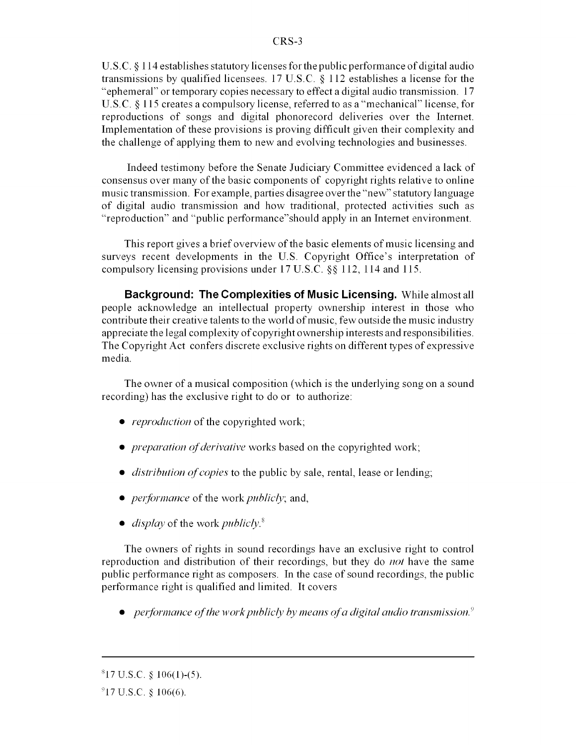U.S.C. § 114 establishes statutory licenses for the public performance of digital audio transmissions by qualified licensees. 17 U.S.C. § 112 establishes a license for the "ephemeral" or temporary copies necessary to effect a digital audio transmission. 17 U.S.C. § 115 creates a compulsory license, referred to as a "mechanical" license, for reproductions of songs and digital phonorecord deliveries over the Internet. Implementation of these provisions is proving difficult given their complexity and the challenge of applying them to new and evolving technologies and businesses.

Indeed testimony before the Senate Judiciary Committee evidenced a lack of consensus over many of the basic components of copyright rights relative to online music transmission. For example, parties disagree over the "new" statutory language of digital audio transmission and how traditional, protected activities such as "reproduction" and "public performance"should apply in an Internet environment.

This report gives a brief overview of the basic elements of music licensing and surveys recent developments in the U.S. Copyright Office's interpretation of compulsory licensing provisions under 17 U.S.C. §§ 112, 114 and 115.

**Background: The Complexities of Music Licensing.** While almost all people acknowledge an intellectual property ownership interest in those who contribute their creative talents to the world of music, few outside the music industry appreciate the legal complexity of copyright ownership interests and responsibilities. The Copyright Act confers discrete exclusive rights on different types of expressive media.

The owner of a musical composition (which is the underlying song on a sound recording) has the exclusive right to do or to authorize:

- *reproduction* of the copyrighted work;
- *preparation of derivative* works based on the copyrighted work;
- *distribution of copies* to the public by sale, rental, lease or lending;
- *performance* of the work *publicly*; and,
- *display* of the work *publicly*.<sup>8</sup>

The owners of rights in sound recordings have an exclusive right to control reproduction and distribution of their recordings, but they do *not* have the same public performance right as composers. In the case of sound recordings, the public performance right is qualified and limited. It covers

*\* performance of the work publicly byn means ofa digital audio transmission.*

 $817$  U.S.C. § 106(1)-(5).

 $917$  U.S.C. § 106(6).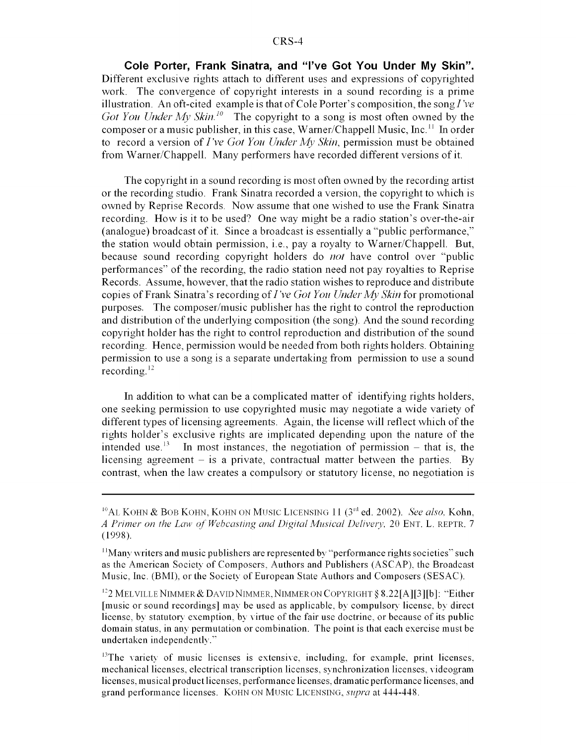**Cole Porter, Frank Sinatra, and "I've Got You Under My Skin".** Different exclusive rights attach to different uses and expressions of copyrighted work. The convergence of copyright interests in a sound recording is a prime illustration. An oft-cited example is that of Cole Porter's composition, the song *I've Got You Under My Skin.<sup>10</sup>* The copyright to a song is most often owned by the composer or a music publisher, in this case, Warner/Chappell Music, Inc."' In order to record a version of *I've Got You Under My Skin,* permission must be obtained from Warner/Chappell. Many performers have recorded different versions of it.

The copyright in a sound recording is most often owned by the recording artist or the recording studio. Frank Sinatra recorded a version, the copyright to which is owned by Reprise Records. Now assume that one wished to use the Frank Sinatra recording. How is it to be used? One way might be a radio station's over-the-air (analogue) broadcast of it. Since a broadcast is essentially a "public performance," the station would obtain permission, i.e., pay a royalty to Warner/Chappell. But, because sound recording copyright holders do *not* have control over "public performances" of the recording, the radio station need not pay royalties to Reprise Records. Assume, however, that the radio station wishes to reproduce and distribute copies of Frank Sinatra's recording *of I've Got You Under My Skin* for promotional purposes. The composer/music publisher has the right to control the reproduction and distribution of the underlying composition (the song). And the sound recording copyright holder has the right to control reproduction and distribution of the sound recording. Hence, permission would be needed from both rights holders. Obtaining permission to use a song is a separate undertaking from permission to use a sound recording.<sup>12</sup>

In addition to what can be a complicated matter of identifying rights holders, one seeking permission to use copyrighted music may negotiate a wide variety of different types of licensing agreements. Again, the license will reflect which of the rights holder's exclusive rights are implicated depending upon the nature of the intended use.<sup>13</sup> In most instances, the negotiation of permission – that is, the licensing agreement  $-$  is a private, contractual matter between the parties. By contrast, when the law creates a compulsory or statutory license, no negotiation is

<sup>&</sup>lt;sup>10</sup>AL KOHN & BOB KOHN, KOHN ON MUSIC LICENSING 11 (3<sup>rd</sup> ed. 2002). *See also*, Kohn, *A Primer on the Law of Webcasting and Digital Musical Delivery,* 20 ENT. L. REPTR. 7 (1998).

<sup>&</sup>lt;sup>11</sup>Many writers and music publishers are represented by "performance rights societies" such as the American Society of Composers, Authors and Publishers (ASCAP), the Broadcast Music, Inc. (BMI), or the Society of European State Authors and Composers (SESAC).

<sup>&</sup>lt;sup>12</sup>2 MELVILLE NIMMER & DAVID NIMMER, NIMMER ON COPYRIGHT § 8.22<sup>[A][3][b]: "Either</sup> [music or sound recordings] may be used as applicable, by compulsory license, by direct license, by statutory exemption, by virtue of the fair use doctrine, or because of its public domain status, in any permutation or combination. The point is that each exercise must be undertaken independently."

<sup>&</sup>lt;sup>13</sup>The variety of music licenses is extensive, including, for example, print licenses, mechanical licenses, electrical transcription licenses, synchronization licenses, videogram licenses, musical product licenses, performance licenses, dramatic performance licenses, and grand performance licenses. KOHN ON MUSIC LICENSING, *supra* at 444-448.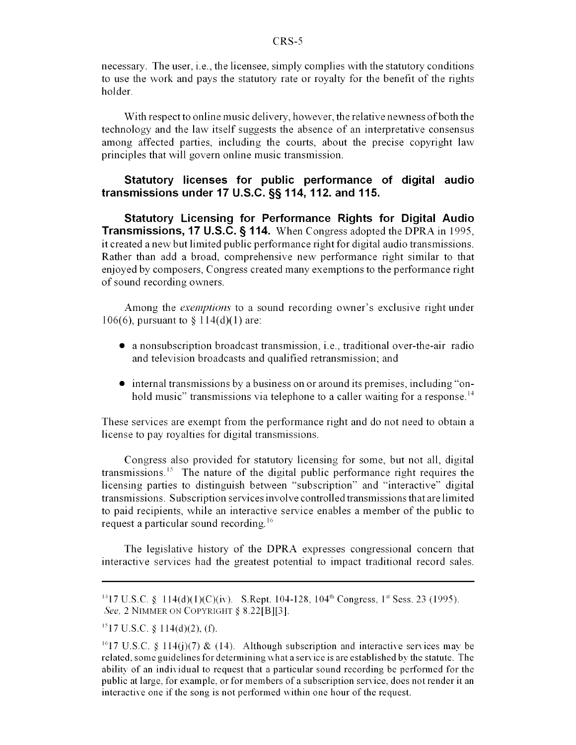necessary. The user, i.e., the licensee, simply complies with the statutory conditions to use the work and pays the statutory rate or royalty for the benefit of the rights holder.

With respect to online music delivery, however, the relative newness of both the technology and the law itself suggests the absence of an interpretative consensus among affected parties, including the courts, about the precise copyright law principles that will govern online music transmission.

#### **Statutory licenses for public performance of digital audio transmissions under 17 U.S.C. §§ 114, 112. and 115.**

**Statutory Licensing for Performance Rights for Digital Audio Transmissions, 17 U.S.C. § 114.** When Congress adopted the DPRA in 1995, it created a new but limited public performance right for digital audio transmissions. Rather than add a broad, comprehensive new performance right similar to that enjoyed by composers, Congress created many exemptions to the performance right of sound recording owners.

Among the *exemptions* to a sound recording owner's exclusive right under 106(6), pursuant to § 114(d)(1) are:

- $\bullet$  a nonsubscription broadcast transmission, i.e., traditional over-the-air radio and television broadcasts and qualified retransmission; and
- internal transmissions by a business on or around its premises, including "onhold music" transmissions via telephone to a caller waiting for a response.<sup>14</sup>

These services are exempt from the performance right and do not need to obtain a license to pay royalties for digital transmissions.

Congress also provided for statutory licensing for some, but not all, digital transmissions.<sup>15</sup> The nature of the digital public performance right requires the licensing parties to distinguish between "subscription" and "interactive" digital transmissions. Subscription services involve controlled transmissions that are limited to paid recipients, while an interactive service enables a member of the public to request a particular sound recording.'<sup>6</sup>

The legislative history of the DPRA expresses congressional concern that interactive services had the greatest potential to impact traditional record sales.

<sup>&</sup>lt;sup>14</sup>17 U.S.C. § 114(d)(1)(C)(iv). S.Rept. 104-128, 104<sup>th</sup> Congress, 1<sup>st</sup> Sess. 23 (1995). *See,* 2 NIMMER ON COPYRIGHT § 8.22[B][3].

 $^{15}$ 17 U.S.C. § 114(d)(2), (f).

<sup>&</sup>lt;sup>16</sup>17 U.S.C. § 114(j)(7) & (14). Although subscription and interactive services may be related, some guidelines for determining what a service is are established by the statute. The ability of an individual to request that a particular sound recording be performed for the public at large, for example, or for members of a subscription service, does not render it an interactive one if the song is not performed within one hour of the request.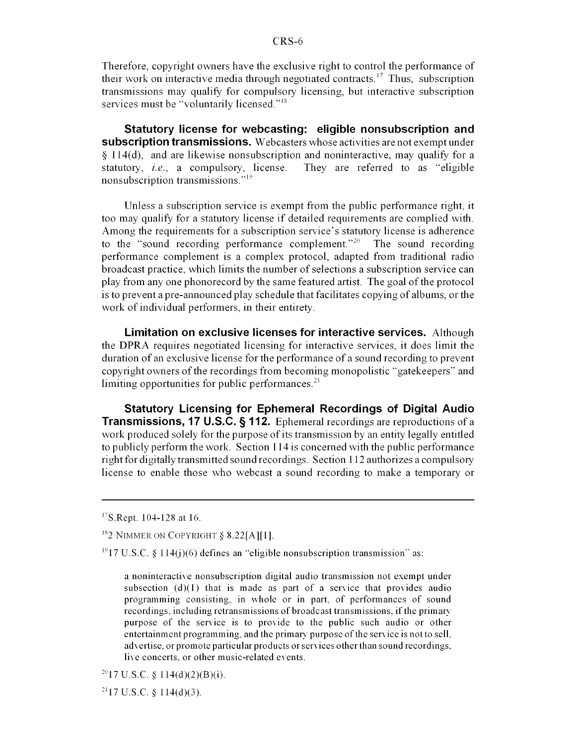Therefore, copyright owners have the exclusive right to control the performance of their work on interactive media through negotiated contracts.<sup>17</sup> Thus, subscription transmissions may qualify for compulsory licensing, but interactive subscription services must be "voluntarily licensed."<sup>18</sup>

**Statutory license for webcasting: eligible nonsubscription and subscription transmissions.** Webcasters whose activities are not exempt under **§** 114(d), and are likewise nonsubscription and noninteractive, may qualify for a statutory, *i.e.,* a compulsory, license. They are referred to as "eligible nonsubscription transmissions."<sup>19</sup>

Unless a subscription service is exempt from the public performance right, it too may qualify for a statutory license if detailed requirements are complied with. Among the requirements for a subscription service's statutory license is adherence to the "sound recording performance complement."<sup>20</sup> The sound recording performance complement is a complex protocol, adapted from traditional radio broadcast practice, which limits the number of selections a subscription service can play from any one phonorecord by the same featured artist. The goal of the protocol is to prevent a pre-announced play schedule that facilitates copying of albums, or the work of individual performers, in their entirety.

**Limitation on exclusive licenses for interactive services.** Although the DPRA requires negotiated licensing for interactive services, it does limit the duration of an exclusive license for the performance of a sound recording to prevent copyright owners of the recordings from becoming monopolistic "gatekeepers" and limiting opportunities for public performances. $2<sup>1</sup>$ 

**Statutory Licensing for Ephemeral Recordings of Digital Audio Transmissions, 17 U.S.C. § 112.** Ephemeral recordings are reproductions of a work produced solely for the purpose of its transmission by an entity legally entitled to publicly perform the work. Section 114 is concerned with the public performance right for digitally transmitted sound recordings. Section 1 12 authorizes a compulsory license to enable those who webcast a sound recording to make a temporary or

<sup>&</sup>lt;sup>17</sup>S.Rept. 104-128 at 16.

 $182$  NIMMER ON COPYRIGHT § 8.22[A][1].

 $^{19}$ 17 U.S.C. § 114(j)(6) defines an "eligible nonsubscription transmission" as:

a noninteractive nonsubscription digital audio transmission not exempt under subsection  $(d)(1)$  that is made as part of a service that provides audio programming consisting, in whole or in part, of performances of sound recordings, including retransmissions of broadcast transmissions, if the primary purpose of the service is to provide to the public such audio or other entertainment programming, and the primary purpose of the service is not to sell, advertise, or promote particular products or services other than sound recordings, live concerts, or other music-related events.

 $^{20}$ 17 U.S.C. § 114(d)(2)(B)(i).

 $^{21}$ 17 U.S.C. § 114(d)(3).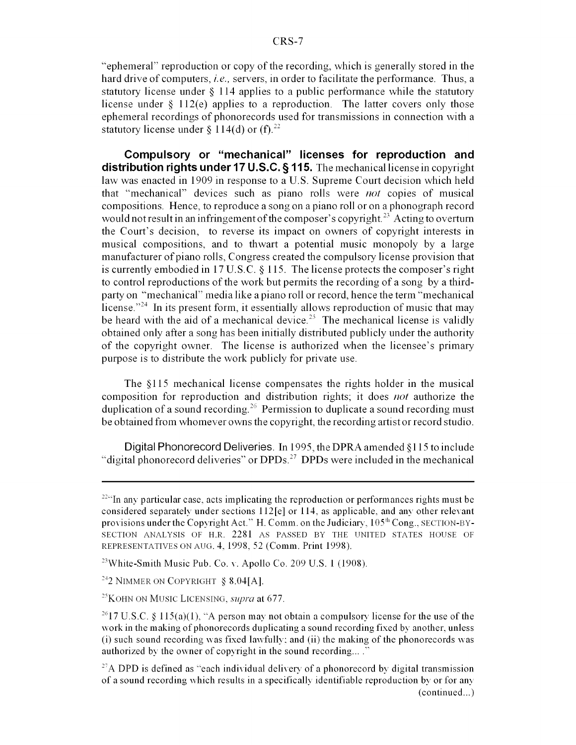"ephemeral" reproduction or copy of the recording, which is generally stored in the hard drive of computers, *i.e.,* servers, in order to facilitate the performance. Thus, a statutory license under **§** 114 applies to a public performance while the statutory license under **§** 112(e) applies to a reproduction. The latter covers only those ephemeral recordings of phonorecords used for transmissions in connection with a statutory license under  $\frac{114}{d}$  or (f).<sup>22</sup>

**Compulsory or "mechanical" licenses for reproduction and distribution rights under 17 U.S.C. § 115.** The mechanical license in copyright law was enacted in 1909 in response to a U.S. Supreme Court decision which held that "mechanical" devices such as piano rolls were *not* copies of musical compositions. Hence, to reproduce a song on a piano roll or on a phonograph record would not result in an infringement of the composer's copyright.<sup>23</sup> Acting to overturn the Court's decision, to reverse its impact on owners of copyright interests in musical compositions, and to thwart a potential music monopoly by a large manufacturer of piano rolls, Congress created the compulsory license provision that is currently embodied in 17 U.S.C. **§** 115. The license protects the composer's right to control reproductions of the work but permits the recording of a song by a thirdparty on "mechanical" media like a piano roll or record, hence the term "mechanical license."<sup>24</sup> In its present form, it essentially allows reproduction of music that may be heard with the aid of a mechanical device.<sup>25</sup> The mechanical license is validly obtained only after a song has been initially distributed publicly under the authority of the copyright owner. The license is authorized when the licensee's primary purpose is to distribute the work publicly for private use.

The **§** 115 mechanical license compensates the rights holder in the musical composition for reproduction and distribution rights; it does *not* authorize the duplication of a sound recording.<sup>26</sup> Permission to duplicate a sound recording must be obtained from whomever owns the copyright, the recording artist or record studio.

Digital Phonorecord Deliveries. In 1995, the DPRA amended §115 to include "digital phonorecord deliveries" or  $DPDs<sup>27</sup>$  DPDs were included in the mechanical

 $224$ <sup>224</sup>In any particular case, acts implicating the reproduction or performances rights must be considered separately under sections 112[e] or 114, as applicable, and any other relevant provisions under the Copyright Act." H. Comm. on the Judiciary, **105"'** Cong., SECTION-BY-SECTION ANALYSIS OF H.R. 2281 AS PASSED BY THE UNITED STATES HOUSE OF REPRESENTATIVES ON AUG. 4, 1998, 52 (Comm. Print 1998).

 $^{23}$ White-Smith Music Pub. Co. v. Apollo Co. 209 U.S. 1 (1908).

<sup>&</sup>lt;sup>24</sup>2 NIMMER ON COPYRIGHT  $$8.04[A]$ .

<sup>&</sup>lt;sup>25</sup> KOHN ON MUSIC LICENSING, *supra* at 677.

<sup>&</sup>lt;sup>26</sup>17 U.S.C. § 115(a)(1), "A person may not obtain a compulsory license for the use of the work in the making of phonorecords duplicating a sound recording fixed by another, unless (i) such sound recording was fixed lawfully: and (ii) the making of the phonorecords was authorized by the owner of copyright in the sound recording...."

<sup>&</sup>lt;sup>27</sup>A DPD is defined as "each individual delivery of a phonorecord by digital transmission of a sound recording which results in a specifically identifiable reproduction by or for any (continued...)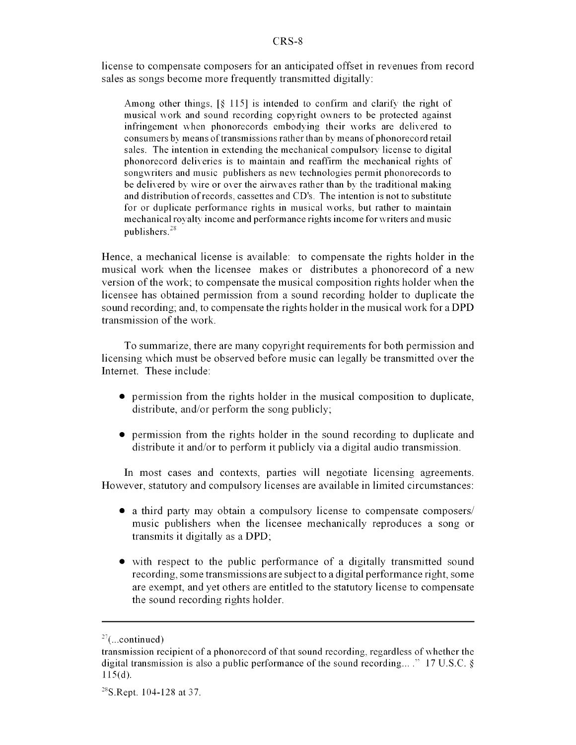license to compensate composers for an anticipated offset in revenues from record sales as songs become more frequently transmitted digitally:

Among other things, [§ 115] is intended to confirm and clarify the right of musical work and sound recording copyright owners to be protected against infringement when phonorecords embodying their works are delivered to consumers by means of transmissions rather than by means of phonorecord retail sales. The intention in extending the mechanical compulsory license to digital phonorecord deliveries is to maintain and reaffirm the mechanical rights of songwriters and music publishers as new technologies permit phonorecords to be delivered by wire or over the airwayes rather than by the traditional making and distribution of records, cassettes and CD's. The intention is not to substitute for or duplicate performance rights in musical works, but rather to maintain mechanical royalty income and performance rights income for writers and music publishers.<sup>28</sup>

Hence, a mechanical license is available: to compensate the rights holder in the musical work when the licensee makes or distributes a phonorecord of a new version of the work; to compensate the musical composition rights holder when the licensee has obtained permission from a sound recording holder to duplicate the sound recording; and, to compensate the rights holder in the musical work for a DPD transmission of the work.

To summarize, there are many copyright requirements for both permission and licensing which must be observed before music can legally be transmitted over the Internet. These include:

- $\bullet$  permission from the rights holder in the musical composition to duplicate, distribute, and/or perform the song publicly;
- permission from the rights holder in the sound recording to duplicate and distribute it and/or to perform it publicly via a digital audio transmission.

In most cases and contexts, parties will negotiate licensing agreements. However, statutory and compulsory licenses are available in limited circumstances:

- a third party may obtain a compulsory license to compensate composers/ music publishers when the licensee mechanically reproduces a song or transmits it digitally as a DPD;
- with respect to the public performance of a digitally transmitted sound recording, some transmissions are subject to a digital performance right, some are exempt, and yet others are entitled to the statutory license to compensate the sound recording rights holder.

 $27$ (...continued)

transmission recipient of a phonorecord of that sound recording, regardless of whether the digital transmission is also a public performance of the sound recording... ." 17 U.S.C.  $\S$ 115(d).

 $^{28}$ S.Rept. 104-128 at 37.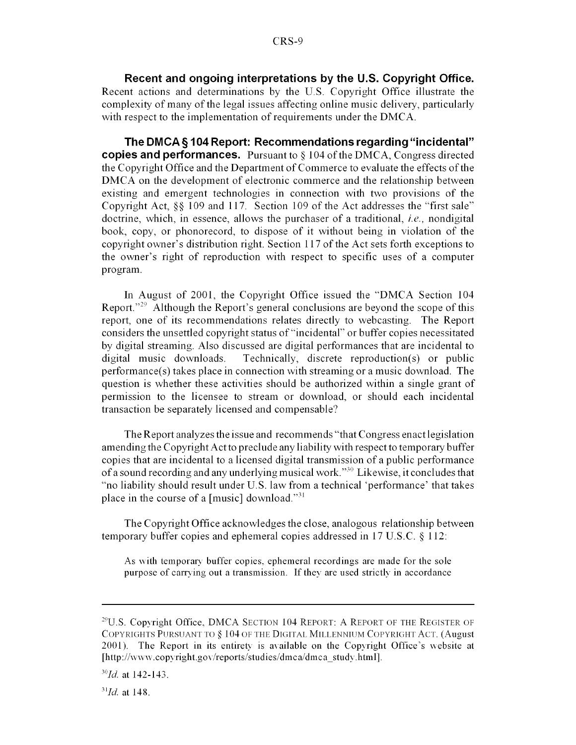**Recent and ongoing interpretations by the U.S. Copyright Office.** Recent actions and determinations by the U.S. Copyright Office illustrate the complexity of many of the legal issues affecting online music delivery, particularly with respect to the implementation of requirements under the DMCA.

**The DMCA§ 104 Report: Recommendations regarding "incidental" copies and performances.** Pursuant to § 104 of the DMCA, Congress directed the Copyright Office and the Department of Commerce to evaluate the effects of the DMCA on the development of electronic commerce and the relationship between existing and emergent technologies in connection with two provisions of the Copyright Act, §§ 109 and 117. Section 109 of the Act addresses the "first sale" doctrine, which, in essence, allows the purchaser of a traditional, *i.e.,* nondigital book, copy, or phonorecord, to dispose of it without being in violation of the copyright owner's distribution right. Section 117 of the Act sets forth exceptions to the owner's right of reproduction with respect to specific uses of a computer program.

In August of 2001, the Copyright Office issued the "DMCA Section 104 Report."<sup>29</sup> Although the Report's general conclusions are beyond the scope of this report, one of its recommendations relates directly to webcasting. The Report considers the unsettled copyright status of "incidental" or buffer copies necessitated by digital streaming. Also discussed are digital performances that are incidental to digital music downloads. Technically, discrete reproduction(s) or public performance(s) takes place in connection with streaming or a music download. The question is whether these activities should be authorized within a single grant of permission to the licensee to stream or download, or should each incidental transaction be separately licensed and compensable?

The Report analyzes the issue and recommends "that Congress enact legislation amending the Copyright Act to preclude any liability with respect to temporary buffer copies that are incidental to a licensed digital transmission of a public performance of a sound recording and any underlying musical work.<sup>330</sup> Likewise, it concludes that "no liability should result under U.S. law from a technical 'performance' that takes place in the course of a [music] download."<sup>31</sup>

The Copyright Office acknowledges the close, analogous relationship between temporary buffer copies and ephemeral copies addressed in 17 U.S.C. § 112:

As with temporary buffer copies, ephemeral recordings are made for the sole purpose of carrying out a transmission. If they are used strictly in accordance

 $^{29}$ U.S. Copyright Office, DMCA SECTION 104 REPORT: A REPORT OF THE REGISTER OF COPYRIGHTS PURSUANT TO § 104 OF THE DIGITAL MILLENNIUM COPYRIGHT ACT. (August 2001). The Report in its entirety is available on the Copyright Office's website at [http://www.copyright.gov/reports/studies/dmca/dmca\_study.html].

*<sup>3</sup>oId.* at 142-143.

*<sup>&</sup>quot;31 Jd.* at 148.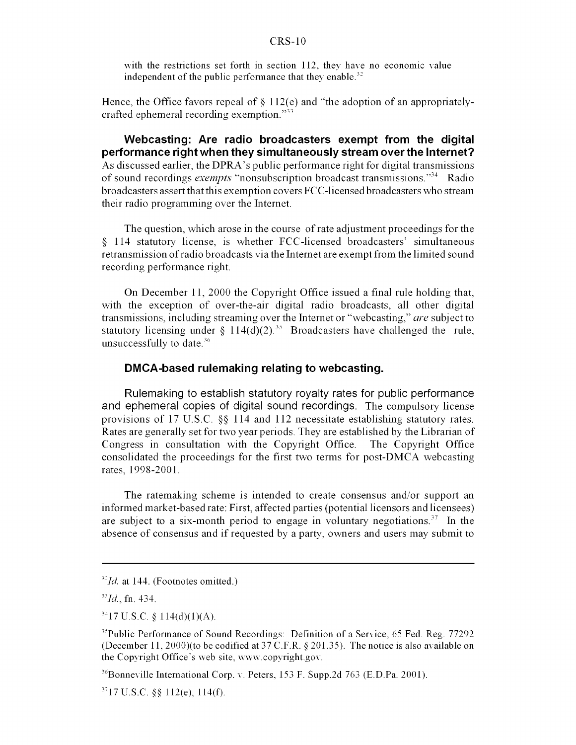with the restrictions set forth in section 112, they have no economic value independent of the public performance that they enable.<sup>32</sup>

Hence, the Office favors repeal of  $\S$  112(e) and "the adoption of an appropriatelycrafted ephemeral recording exemption."33

**Webcasting: Are radio broadcasters exempt from the digital performance right when they simultaneously stream over the Internet?** As discussed earlier, the DPRA's public performance right for digital transmissions of sound recordings *exempts* "nonsubscription broadcast transmissions."34 Radio broadcasters assert that this exemption covers FCC-licensed broadcasters who stream their radio programming over the Internet.

The question, which arose in the course of rate adjustment proceedings for the § 114 statutory license, is whether FCC-licensed broadcasters' simultaneous retransmission of radio broadcasts via the Internet are exempt from the limited sound recording performance right.

On December 11, 2000 the Copyright Office issued a final rule holding that, with the exception of over-the-air digital radio broadcasts, all other digital transmissions, including streaming over the Internet or "webcasting," *are* subject to statutory licensing under  $\frac{114(d)(2)^{35}}{2}$  Broadcasters have challenged the rule, unsuccessfully to date. $36$ 

#### **DMCA-based rulemaking relating to webcasting.**

Rulemaking to establish statutory royalty rates for public performance and ephemeral copies of digital sound recordings. The compulsory license provisions of 17 U.S.C. §§ 114 and 112 necessitate establishing statutory rates. Rates are generally set for two year periods. They are established by the Librarian of Congress in consultation with the Copyright Office. The Copyright Office consolidated the proceedings for the first two terms for post-DMCA webcasting rates, 1998-2001.

The ratemaking scheme is intended to create consensus and/or support an informed market-based rate: First, affected parties (potential licensors and licensees) are subject to a six-month period to engage in voluntary negotiations.<sup>37</sup> In the absence of consensus and if requested by a party, owners and users may submit to

<sup>&</sup>lt;sup>32</sup>*Id.* at 144. (Footnotes omitted.)

 $^{33}Id.$ , fn. 434.

 $3417$  U.S.C. § 114(d)(1)(A).

 $35$ Public Performance of Sound Recordings: Definition of a Service, 65 Fed. Reg. 77292 (December 11, 2000)(to be codified at 37 C.F.R. § 201.35). The notice is also available on the Copyright Office's web site, www.copyright.gov.

 $^{36}$ Bonneville International Corp. v. Peters, 153 F. Supp.2d 763 (E.D.Pa. 2001).

 $3717$  U.S.C. §§ 112(e), 114(f).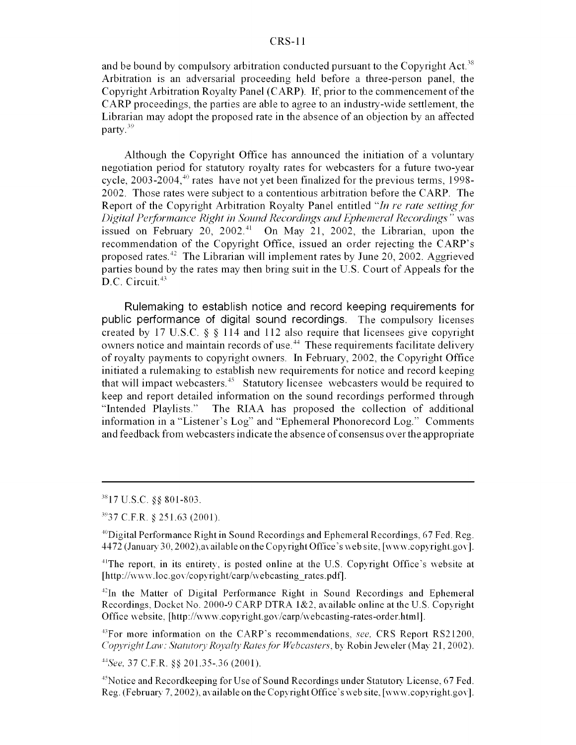and be bound by compulsory arbitration conducted pursuant to the Copyright Act.<sup>38</sup> Arbitration is an adversarial proceeding held before a three-person panel, the Copyright Arbitration Royalty Panel (CARP). If, prior to the commencement of the CARP proceedings, the parties are able to agree to an industry-wide settlement, the Librarian may adopt the proposed rate in the absence of an objection by an affected party.<sup>39</sup>

Although the Copyright Office has announced the initiation of a voluntary negotiation period for statutory royalty rates for webcasters for a future two-year cycle,  $2003-2004$ ,  $40$  rates have not yet been finalized for the previous terms, 1998-2002. Those rates were subject to a contentious arbitration before the CARP. The Report of the Copyright Arbitration Royalty Panel entitled *"In re rate setting/orf Digital Perbfrmance Right in Sound Recordings and Ephemeral Recordings"* was issued on February  $20$ ,  $2002^{41}$  On May 21, 2002, the Librarian, upon the recommendation of the Copyright Office, issued an order rejecting the CARP's proposed rates.<sup>42</sup> The Librarian will implement rates by June 20, 2002. Aggrieved parties bound by the rates may then bring suit in the U.S. Court of Appeals for the D.C. Circuit.<sup>43</sup>

Rulemaking to establish notice and record keeping requirements for public performance of digital sound recordings. The compulsory licenses created by 17 U.S.C. § § 114 and 112 also require that licensees give copyright owners notice and maintain records of use.<sup>44</sup> These requirements facilitate delivery of royalty payments to copyright owners. In February, 2002, the Copyright Office initiated a rulemaking to establish new requirements for notice and record keeping that will impact webcasters.<sup>45</sup> Statutory licensee webcasters would be required to keep and report detailed information on the sound recordings performed through "Intended Playlists." The RIAA has proposed the collection of additional information in a "Listener's Log" and "Ephemeral Phonorecord Log." Comments and feedback from webcasters indicate the absence of consensus over the appropriate

*"See,* 37 C.F.R. §§ 201.35-.36 (2001).

<sup>45</sup> Notice and Recordkeeping for Use of Sound Recordings under Statutory License, 67 Fed. Reg. (February 7, 2002), available on the Copyright Office's web site, [www.copyright.gov].

 $^{38}$ 17 U.S.C. §§ 801-803.

**<sup>337</sup>** C.F.R. **§** 251.63 (2001).

<sup>&</sup>lt;sup>40</sup>Digital Performance Right in Sound Recordings and Ephemeral Recordings, 67 Fed. Reg. 4472 (January 30, 2002), available on the Copyright Office's web site, [www.copyright.gov].

<sup>&</sup>lt;sup>41</sup>The report, in its entirety, is posted online at the U.S. Copyright Office's website at [http://www.loc.gov/copyright/carp/webcasting rates.pdf].

<sup>&</sup>lt;sup>42</sup>In the Matter of Digital Performance Right in Sound Recordings and Ephemeral Recordings, Docket No. 2000-9 CARP DTRA 1&2, available online at the U.S. Copyright Office website, [http://www.copyright.gov/carp/webcasting-rates-order.html].

<sup>&</sup>quot;3For more information on the CARP's recommendations, *see,* CRS Report RS21200, *Copyright Law: Statutory Royalty Rates for Webcasters, by Robin Jeweler (May 21, 2002).*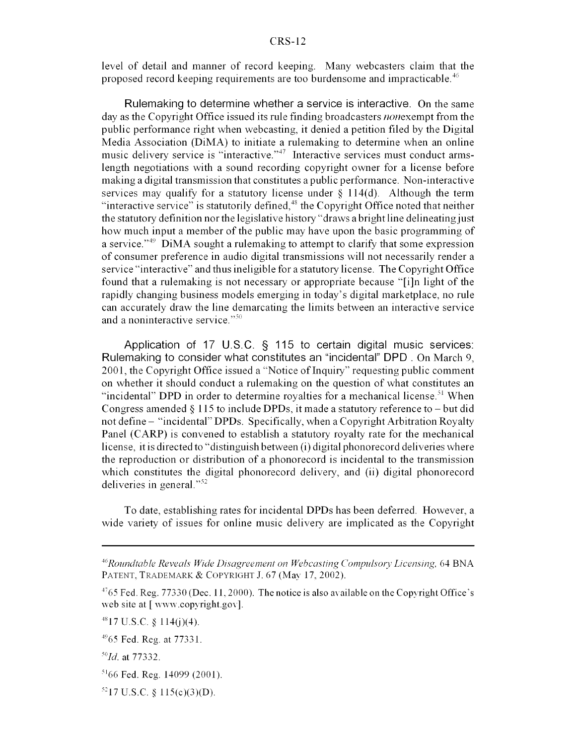level of detail and manner of record keeping. Many webcasters claim that the proposed record keeping requirements are too burdensome and impracticable. $^{46}$ 

Rulemaking to determine whether a service is interactive. On the same day as the Copyright Office issued its rule finding broadcasters *nonexempt* from the public performance right when webcasting, it denied a petition filed by the Digital Media Association (DiMA) to initiate a rulemaking to determine when an online music delivery service is "interactive."<sup>47</sup> Interactive services must conduct armslength negotiations with a sound recording copyright owner for a license before making a digital transmission that constitutes a public performance. Non-interactive services may qualify for a statutory license under  $\S$  114(d). Although the term "interactive service" is statutorily defined, $^{48}$  the Copyright Office noted that neither the statutory definition nor the legislative history "draws a bright line delineating just how much input a member of the public may have upon the basic programming of a service."<sup>49</sup> DiMA sought a rulemaking to attempt to clarify that some expression of consumer preference in audio digital transmissions will not necessarily render a service "interactive" and thus ineligible for a statutory license. The Copyright Office found that a rulemaking is not necessary or appropriate because "[i]n light of the rapidly changing business models emerging in today's digital marketplace, no rule can accurately draw the line demarcating the limits between an interactive service and a noninteractive service."<sup>50</sup>

Application of 17 U.S.C. § 115 to certain digital music services: Rulemaking to consider what constitutes an "incidental" DPD . On March 9, 2001, the Copyright Office issued a "Notice of Inquiry" requesting public comment on whether it should conduct a rulemaking on the question of what constitutes an "incidental" DPD in order to determine royalties for a mechanical license.<sup>51</sup> When Congress amended  $\S$  115 to include DPDs, it made a statutory reference to – but did not define - "incidental" DPDs. Specifically, when a Copyright Arbitration Royalty Panel (CARP) is convened to establish a statutory royalty rate for the mechanical license, it is directed to "distinguish between (i) digital phonorecord deliveries where the reproduction or distribution of a phonorecord is incidental to the transmission which constitutes the digital phonorecord delivery, and (ii) digital phonorecord deliveries in general."52

To date, establishing rates for incidental DPDs has been deferred. However, a wide variety of issues for online music delivery are implicated as the Copyright

<sup>&</sup>lt;sup>46</sup> Roundtable Reveals Wide Disagreement on Webcasting Compulsory Licensing, 64 BNA PATENT, TRADEMARK & COPYRIGHT J. 67 (May 17, 2002).

<sup>&</sup>lt;sup>47</sup>65 Fed. Reg. 77330 (Dec. 11, 2000). The notice is also available on the Copyright Office's web site at  $[$  www.copyright.gov].

 $^{48}$ 17 U.S.C. § 114(j)(4).

 $^{49}$ 65 Fed. Reg. at 77331.

*<sup>&</sup>quot; 0 1d.* at 77332.

 $5166$  Fed. Reg. 14099 (2001).

 $^{52}$ 17 U.S.C. § 115(c)(3)(D).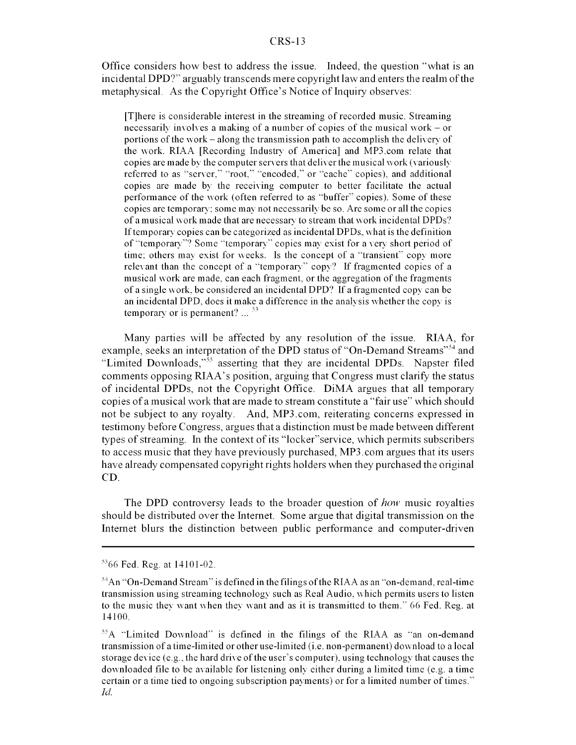Office considers how best to address the issue. Indeed, the question "what is an incidental DPD?" arguably transcends mere copyright law and enters the realm of the metaphysical. As the Copyright Office's Notice of Inquiry observes:

[T]here is considerable interest in the streaming of recorded music. Streaming necessarily involves a making of a number of copies of the musical work - or portions of the work - along the transmission path to accomplish the delivery of the work. RIAA [Recording Industry of America] and MP3.com relate that copies are made by the computer servers that deliver the musical work (variously referred to as "server," "root," "encoded," or "cache" copies), and additional copies are made by the receiving computer to better facilitate the actual performance of the work (often referred to as "buffer" copies). Some of these copies are temporary: some may not necessarily be so. Are some or all the copies of a musical work made that are necessary to stream that work incidental DPDs? If temporary copies can be categorized as incidental DPDs, what is the definition of "temporary"? Some "temporary" copies may exist for a very short period of time: others may exist for weeks. Is the concept of a "transient" copy more relevant than the concept of a "temporary" copy? If fragmented copies of a musical work are made, can each fragment, or the aggregation of the fragments of a single work, be considered an incidental DPD? If a fragmented copy can be an incidental DPD, does it make a difference in the analysis whether the copy is temporary or is permanent?  $\ldots$  <sup>53</sup>

Many parties will be affected by any resolution of the issue. RIAA, for example, seeks an interpretation of the DPD status of "On-Demand Streams"<sup>54</sup> and "Limited Downloads," $\frac{355}{100}$  asserting that they are incidental DPDs. Napster filed comments opposing RIAA's position, arguing that Congress must clarify the status of incidental DPDs, not the Copyright Office. DiMA argues that all temporary copies of a musical work that are made to stream constitute a "fair use" which should not be subject to any royalty. And, MP3.com, reiterating concerns expressed in testimony before Congress, argues that a distinction must be made between different types of streaming. In the context of its "locker"service, which permits subscribers to access music that they have previously purchased, MP3.com argues that its users have already compensated copyright rights holders when they purchased the original **CD.**

The DPD controversy leads to the broader question of *how* music royalties should be distributed over the Internet. Some argue that digital transmission on the Internet blurs the distinction between public performance and computer-driven

 $5366$  Fed. Reg. at  $14101-02$ .

<sup>54</sup> An "On-Demand Stream" is defined in the filings of the RIAA as an "on-demand, real-time transmission using streaming technology such as Real Audio, which permits users to listen to the music they want when they want and as it is transmitted to them." 66 Fed. Reg. at 14100.

 $<sup>55</sup>A$  "Limited Download" is defined in the filings of the RIAA as "an on-demand"</sup> transmission of a time-limited or other use-limited (i.e. non-permanent) download to a local storage device (e.g., the hard drive of the user's computer), using technology that causes the downloaded file to be available for listening only either during a limited time (e.g. a time certain or a time tied to ongoing subscription payments) or for a limited number of times. *Id.*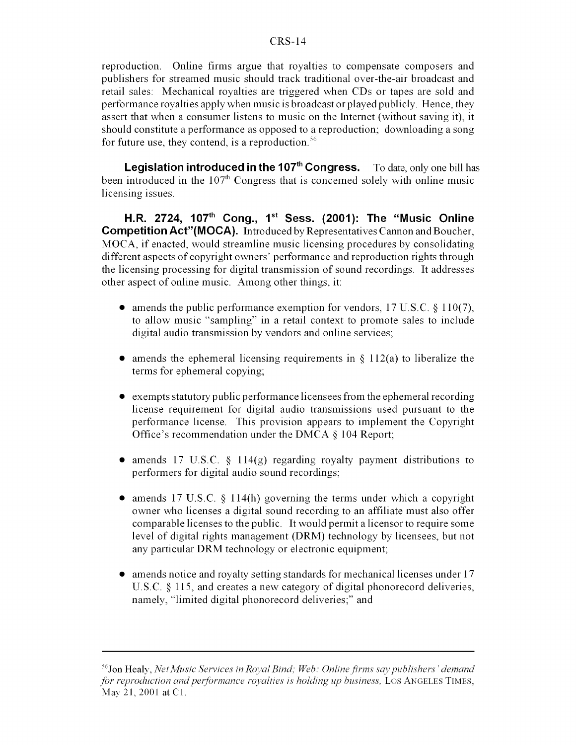reproduction. Online firms argue that royalties to compensate composers and publishers for streamed music should track traditional over-the-air broadcast and retail sales: Mechanical royalties are triggered when CDs or tapes are sold and performance royalties apply when music is broadcast or played publicly. Hence, they assert that when a consumer listens to music on the Internet (without saving it), it should constitute a performance as opposed to a reproduction; downloading a song for future use, they contend, is a reproduction.<sup>56</sup>

**Legislation introduced in the 107<sup>th</sup> Congress.** To date, only one bill has been introduced in the  $107<sup>th</sup>$  Congress that is concerned solely with online music licensing issues.

**H.R. 2724, 1 <sup>0</sup> <sup>7</sup> th Cong., 1st Sess. (2001): The "Music Online Competition Act"(MOCA).** Introduced by Representatives Cannon and Boucher, MOCA, if enacted, would streamline music licensing procedures by consolidating different aspects of copyright owners' performance and reproduction rights through the licensing processing for digital transmission of sound recordings. It addresses other aspect of online music. Among other things, it:

- amends the public performance exemption for vendors,  $17 \text{ U.S. C. }$  §  $110(7)$ , to allow music "sampling" in a retail context to promote sales to include digital audio transmission by vendors and online services;
- amends the ephemeral licensing requirements in  $\S$  112(a) to liberalize the terms for ephemeral copying;
- $\bullet$  exempts statutory public performance licensees from the ephemeral recording license requirement for digital audio transmissions used pursuant to the performance license. This provision appears to implement the Copyright Office's recommendation under the DMCA § 104 Report;
- amends 17 U.S.C. § 114(g) regarding royalty payment distributions to performers for digital audio sound recordings;
- amends 17 U.S.C. § 114(h) governing the terms under which a copyright owner who licenses a digital sound recording to an affiliate must also offer comparable licenses to the public. It would permit a licensor to require some level of digital rights management (DRM) technology by licensees, but not any particular DRM technology or electronic equipment;
- $\bullet$  amends notice and royalty setting standards for mechanical licenses under 17 U.S.C. § 115, and creates a new category of digital phonorecord deliveries, namely, "limited digital phonorecord deliveries;" and

<sup>&#</sup>x27;Jon Healy, *Net Music Services in Royal Bind; Web: Online firms say publishers 'demand for reproduction and performance royalties is holding up business, LOS ANGELES TIMES,* May 21, 2001 at CI.